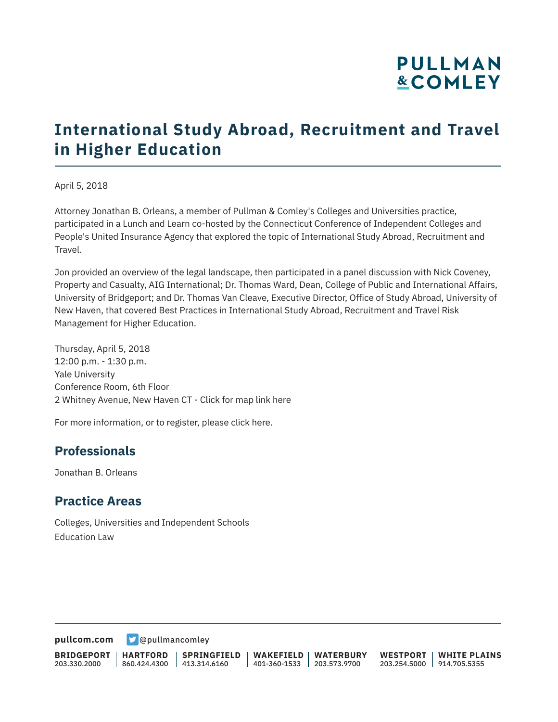# **PULLMAN &COMLEY**

# **International Study Abroad, Recruitment and Travel in Higher Education**

April 5, 2018

Attorney Jonathan B. Orleans, a member of Pullman & Comley's Colleges and Universities practice, participated in a Lunch and Learn co-hosted by the Connecticut Conference of Independent Colleges and People's United Insurance Agency that explored the topic of International Study Abroad, Recruitment and Travel.

Jon provided an overview of the legal landscape, then participated in a panel discussion with Nick Coveney, Property and Casualty, AIG International; Dr. Thomas Ward, Dean, College of Public and International Affairs, University of Bridgeport; and Dr. Thomas Van Cleave, Executive Director, Office of Study Abroad, University of New Haven, that covered Best Practices in International Study Abroad, Recruitment and Travel Risk Management for Higher Education.

Thursday, April 5, 2018 12:00 p.m. - 1:30 p.m. Yale University Conference Room, 6th Floor 2 Whitney Avenue, New Haven CT - Click for map link here

For more information, or to register, please click here.

### **Professionals**

Jonathan B. Orleans

#### **Practice Areas**

Colleges, Universities and Independent Schools Education Law

**[pullcom.com](https://www.pullcom.com)** [@pullmancomley](https://twitter.com/PullmanComley)

**BRIDGEPORT** 203.330.2000 **HARTFORD** 860.424.4300 413.314.6160 **SPRINGFIELD WAKEFIELD WATERBURY** 401-360-1533 203.573.9700 **WESTPORT WHITE PLAINS** 203.254.5000 914.705.5355